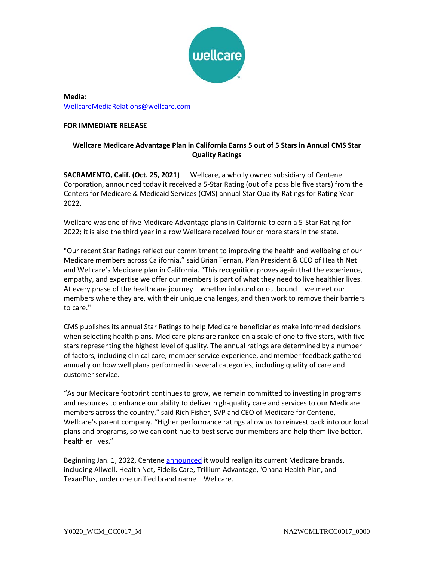

**Media:** [WellcareMediaRelations@wellcare.com](mailto:WellcareMediaRelations@wellcare.com)

#### **FOR IMMEDIATE RELEASE**

# **Wellcare Medicare Advantage Plan in California Earns 5 out of 5 Stars in Annual CMS Star Quality Ratings**

**SACRAMENTO, Calif. (Oct. 25, 2021)** — Wellcare, a wholly owned subsidiary of Centene Corporation, announced today it received a 5-Star Rating (out of a possible five stars) from the Centers for Medicare & Medicaid Services (CMS) annual Star Quality Ratings for Rating Year 2022.

Wellcare was one of five Medicare Advantage plans in California to earn a 5-Star Rating for 2022; it is also the third year in a row Wellcare received four or more stars in the state.

"Our recent Star Ratings reflect our commitment to improving the health and wellbeing of our Medicare members across California," said Brian Ternan, Plan President & CEO of Health Net and Wellcare's Medicare plan in California. "This recognition proves again that the experience, empathy, and expertise we offer our members is part of what they need to live healthier lives. At every phase of the healthcare journey – whether inbound or outbound – we meet our members where they are, with their unique challenges, and then work to remove their barriers to care."

CMS publishes its annual Star Ratings to help Medicare beneficiaries make informed decisions when selecting health plans. Medicare plans are ranked on a scale of one to five stars, with five stars representing the highest level of quality. The annual ratings are determined by a number of factors, including clinical care, member service experience, and member feedback gathered annually on how well plans performed in several categories, including quality of care and customer service.

"As our Medicare footprint continues to grow, we remain committed to investing in programs and resources to enhance our ability to deliver high-quality care and services to our Medicare members across the country," said Rich Fisher, SVP and CEO of Medicare for Centene, Wellcare's parent company. "Higher performance ratings allow us to reinvest back into our local plans and programs, so we can continue to best serve our members and help them live better, healthier lives."

Beginning Jan. 1, 2022, Centene [announced](https://www.prnewswire.com/news-releases/wellcare-announces-refreshed-brand-in-effort-to-better-serve-medicare-members-301366933.html) it would realign its current Medicare brands, including Allwell, Health Net, Fidelis Care, Trillium Advantage, 'Ohana Health Plan, and TexanPlus, under one unified brand name – Wellcare.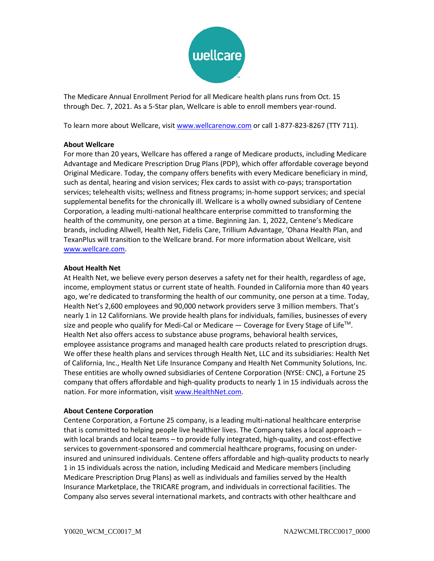

The Medicare Annual Enrollment Period for all Medicare health plans runs from Oct. 15 through Dec. 7, 2021. As a 5-Star plan, Wellcare is able to enroll members year-round.

To learn more about Wellcare, visi[t www.wellcarenow.com](http://www.wellcarenow.com/) or call 1-877-823-8267 (TTY 711).

# **About Wellcare**

For more than 20 years, Wellcare has offered a range of Medicare products, including Medicare Advantage and Medicare Prescription Drug Plans (PDP), which offer affordable coverage beyond Original Medicare. Today, the company offers benefits with every Medicare beneficiary in mind, such as dental, hearing and vision services; Flex cards to assist with co-pays; transportation services; telehealth visits; wellness and fitness programs; in-home support services; and special supplemental benefits for the chronically ill. Wellcare is a wholly owned subsidiary of Centene Corporation, a leading multi-national healthcare enterprise committed to transforming the health of the community, one person at a time. Beginning Jan. 1, 2022, Centene's Medicare brands, including Allwell, Health Net, Fidelis Care, Trillium Advantage, 'Ohana Health Plan, and TexanPlus will transition to the Wellcare brand. For more information about Wellcare, visit [www.wellcare.com.](http://www.wellcare.com/)

### **About Health Net**

At Health Net, we believe every person deserves a safety net for their health, regardless of age, income, employment status or current state of health. Founded in California more than 40 years ago, we're dedicated to transforming the health of our community, one person at a time. Today, Health Net's 2,600 employees and 90,000 network providers serve 3 million members. That's nearly 1 in 12 Californians. We provide health plans for individuals, families, businesses of every size and people who qualify for Medi-Cal or Medicare — Coverage for Every Stage of Life<sup>TM</sup>. Health Net also offers access to substance abuse programs, behavioral health services, employee assistance programs and managed health care products related to prescription drugs. We offer these health plans and services through Health Net, LLC and its subsidiaries: Health Net of California, Inc., Health Net Life Insurance Company and Health Net Community Solutions, Inc. These entities are wholly owned subsidiaries of Centene Corporation (NYSE: CNC), a Fortune 25 company that offers affordable and high-quality products to nearly 1 in 15 individuals across the nation. For more information, visi[t www.HealthNet.com.](http://www.healthnet.com/)

### **About Centene Corporation**

Centene Corporation, a Fortune 25 company, is a leading multi-national healthcare enterprise that is committed to helping people live healthier lives. The Company takes a local approach – with local brands and local teams – to provide fully integrated, high-quality, and cost-effective services to government-sponsored and commercial healthcare programs, focusing on underinsured and uninsured individuals. Centene offers affordable and high-quality products to nearly 1 in 15 individuals across the nation, including Medicaid and Medicare members (including Medicare Prescription Drug Plans) as well as individuals and families served by the Health Insurance Marketplace, the TRICARE program, and individuals in correctional facilities. The Company also serves several international markets, and contracts with other healthcare and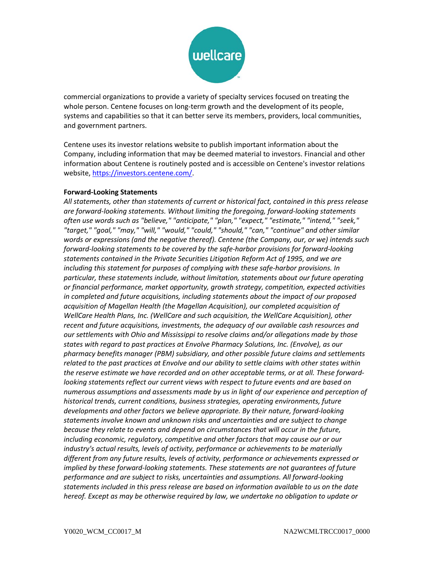

commercial organizations to provide a variety of specialty services focused on treating the whole person. Centene focuses on long-term growth and the development of its people, systems and capabilities so that it can better serve its members, providers, local communities, and government partners.

Centene uses its investor relations website to publish important information about the Company, including information that may be deemed material to investors. Financial and other information about Centene is routinely posted and is accessible on Centene's investor relations website, [https://investors.centene.com/.](https://investors.centene.com/)

### **Forward-Looking Statements**

*All statements, other than statements of current or historical fact, contained in this press release are forward-looking statements. Without limiting the foregoing, forward-looking statements often use words such as "believe," "anticipate," "plan," "expect," "estimate," "intend," "seek," "target," "goal," "may," "will," "would," "could," "should," "can," "continue" and other similar words or expressions (and the negative thereof). Centene (the Company, our, or we) intends such forward-looking statements to be covered by the safe-harbor provisions for forward-looking statements contained in the Private Securities Litigation Reform Act of 1995, and we are including this statement for purposes of complying with these safe-harbor provisions. In particular, these statements include, without limitation, statements about our future operating or financial performance, market opportunity, growth strategy, competition, expected activities in completed and future acquisitions, including statements about the impact of our proposed acquisition of Magellan Health (the Magellan Acquisition), our completed acquisition of WellCare Health Plans, Inc. (WellCare and such acquisition, the WellCare Acquisition), other recent and future acquisitions, investments, the adequacy of our available cash resources and our settlements with Ohio and Mississippi to resolve claims and/or allegations made by those states with regard to past practices at Envolve Pharmacy Solutions, Inc. (Envolve), as our pharmacy benefits manager (PBM) subsidiary, and other possible future claims and settlements related to the past practices at Envolve and our ability to settle claims with other states within the reserve estimate we have recorded and on other acceptable terms, or at all. These forwardlooking statements reflect our current views with respect to future events and are based on numerous assumptions and assessments made by us in light of our experience and perception of historical trends, current conditions, business strategies, operating environments, future developments and other factors we believe appropriate. By their nature, forward-looking statements involve known and unknown risks and uncertainties and are subject to change because they relate to events and depend on circumstances that will occur in the future, including economic, regulatory, competitive and other factors that may cause our or our industry's actual results, levels of activity, performance or achievements to be materially different from any future results, levels of activity, performance or achievements expressed or implied by these forward-looking statements. These statements are not guarantees of future performance and are subject to risks, uncertainties and assumptions. All forward-looking statements included in this press release are based on information available to us on the date hereof. Except as may be otherwise required by law, we undertake no obligation to update or*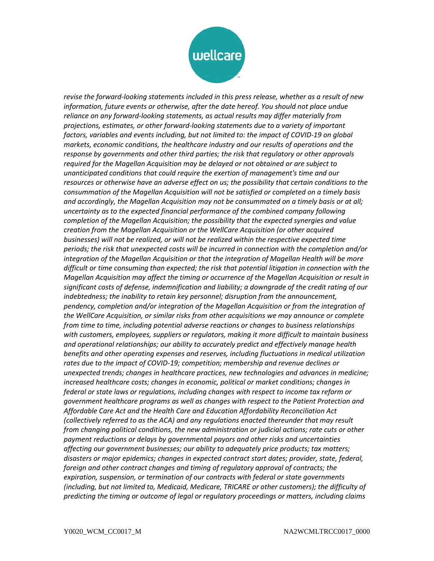

*revise the forward-looking statements included in this press release, whether as a result of new information, future events or otherwise, after the date hereof. You should not place undue reliance on any forward-looking statements, as actual results may differ materially from projections, estimates, or other forward-looking statements due to a variety of important factors, variables and events including, but not limited to: the impact of COVID-19 on global markets, economic conditions, the healthcare industry and our results of operations and the response by governments and other third parties; the risk that regulatory or other approvals required for the Magellan Acquisition may be delayed or not obtained or are subject to unanticipated conditions that could require the exertion of management's time and our resources or otherwise have an adverse effect on us; the possibility that certain conditions to the consummation of the Magellan Acquisition will not be satisfied or completed on a timely basis and accordingly, the Magellan Acquisition may not be consummated on a timely basis or at all; uncertainty as to the expected financial performance of the combined company following completion of the Magellan Acquisition; the possibility that the expected synergies and value creation from the Magellan Acquisition or the WellCare Acquisition (or other acquired businesses) will not be realized, or will not be realized within the respective expected time periods; the risk that unexpected costs will be incurred in connection with the completion and/or integration of the Magellan Acquisition or that the integration of Magellan Health will be more difficult or time consuming than expected; the risk that potential litigation in connection with the Magellan Acquisition may affect the timing or occurrence of the Magellan Acquisition or result in significant costs of defense, indemnification and liability; a downgrade of the credit rating of our indebtedness; the inability to retain key personnel; disruption from the announcement, pendency, completion and/or integration of the Magellan Acquisition or from the integration of the WellCare Acquisition, or similar risks from other acquisitions we may announce or complete from time to time, including potential adverse reactions or changes to business relationships with customers, employees, suppliers or regulators, making it more difficult to maintain business and operational relationships; our ability to accurately predict and effectively manage health benefits and other operating expenses and reserves, including fluctuations in medical utilization*  rates due to the impact of COVID-19; competition; membership and revenue declines or *unexpected trends; changes in healthcare practices, new technologies and advances in medicine; increased healthcare costs; changes in economic, political or market conditions; changes in federal or state laws or regulations, including changes with respect to income tax reform or government healthcare programs as well as changes with respect to the Patient Protection and Affordable Care Act and the Health Care and Education Affordability Reconciliation Act (collectively referred to as the ACA) and any regulations enacted thereunder that may result from changing political conditions, the new administration or judicial actions; rate cuts or other payment reductions or delays by governmental payors and other risks and uncertainties affecting our government businesses; our ability to adequately price products; tax matters; disasters or major epidemics; changes in expected contract start dates; provider, state, federal, foreign and other contract changes and timing of regulatory approval of contracts; the expiration, suspension, or termination of our contracts with federal or state governments (including, but not limited to, Medicaid, Medicare, TRICARE or other customers); the difficulty of predicting the timing or outcome of legal or regulatory proceedings or matters, including claims*